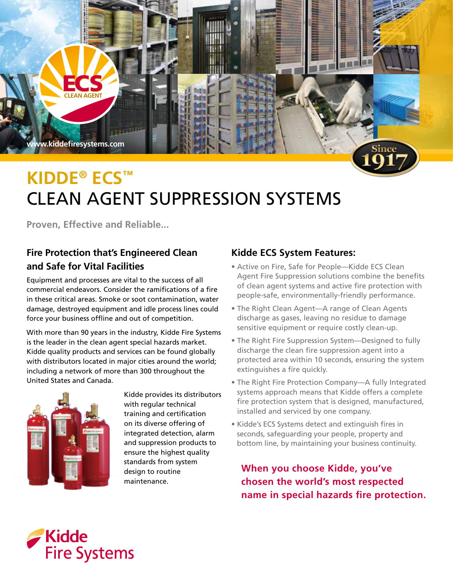

# **Kidde® ecs™**  Clean Agent Suppression Systems

**Proven, Effective and Reliable...** 

# **Fire Protection that's Engineered Clean and Safe for Vital Facilities**

Equipment and processes are vital to the success of all commercial endeavors. Consider the ramifications of a fire in these critical areas. Smoke or soot contamination, water damage, destroyed equipment and idle process lines could force your business offline and out of competition.

With more than 90 years in the industry, Kidde Fire Systems is the leader in the clean agent special hazards market. Kidde quality products and services can be found globally with distributors located in major cities around the world; including a network of more than 300 throughout the United States and Canada.



Kidde provides its distributors with regular technical training and certification on its diverse offering of integrated detection, alarm and suppression products to ensure the highest quality standards from system design to routine maintenance.

## **Kidde ECS System Features:**

- Active on Fire, Safe for People—Kidde ECS Clean Agent Fire Suppression solutions combine the benefits of clean agent systems and active fire protection with people-safe, environmentally-friendly performance.
- The Right Clean Agent—A range of Clean Agents discharge as gases, leaving no residue to damage sensitive equipment or require costly clean-up.
- The Right Fire Suppression System—Designed to fully discharge the clean fire suppression agent into a protected area within 10 seconds, ensuring the system extinguishes a fire quickly.
- The Right Fire Protection Company—A fully Integrated systems approach means that Kidde offers a complete fire protection system that is designed, manufactured, installed and serviced by one company.
- Kidde's ECS Systems detect and extinguish fires in seconds, safeguarding your people, property and bottom line, by maintaining your business continuity.

**When you choose Kidde, you've chosen the world's most respected name in special hazards fire protection.**